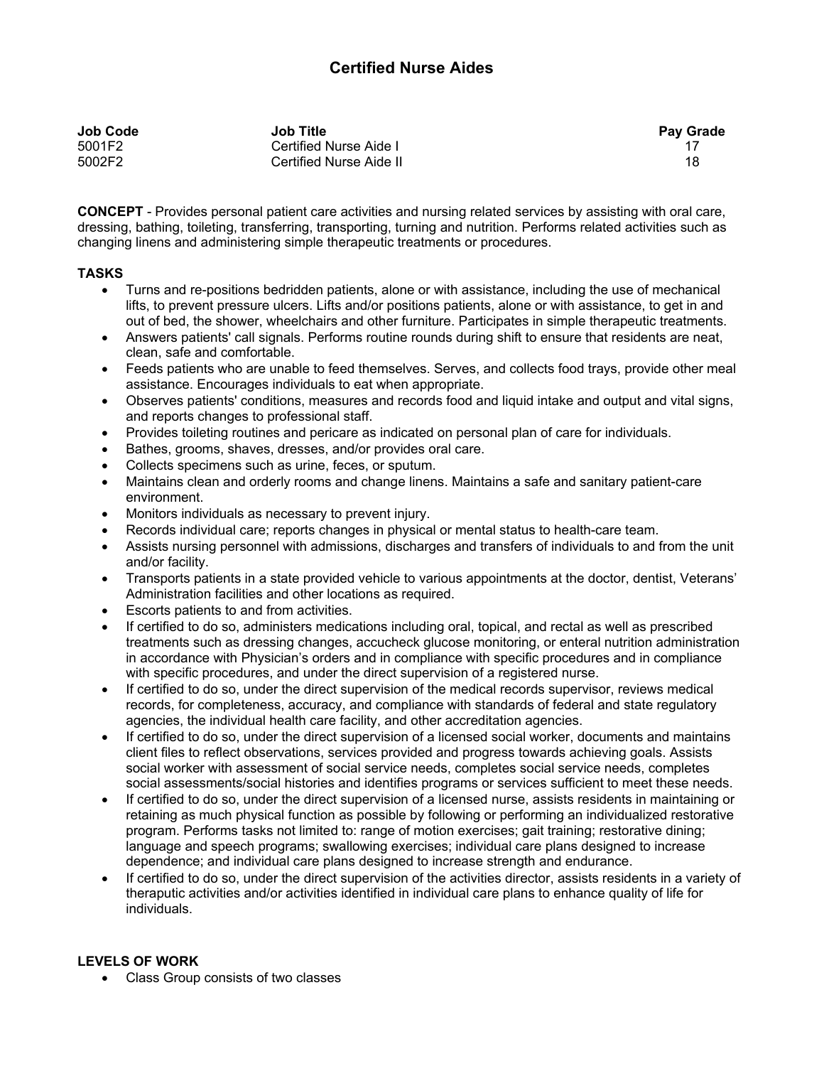## **Certified Nurse Aides**

| Job Code | <b>Job Title</b>        | <b>Pay Grade</b> |
|----------|-------------------------|------------------|
| 5001F2   | Certified Nurse Aide I  |                  |
| 5002F2   | Certified Nurse Aide II | 18               |

**CONCEPT** - Provides personal patient care activities and nursing related services by assisting with oral care, dressing, bathing, toileting, transferring, transporting, turning and nutrition. Performs related activities such as changing linens and administering simple therapeutic treatments or procedures.

## **TASKS**

- Turns and re-positions bedridden patients, alone or with assistance, including the use of mechanical lifts, to prevent pressure ulcers. Lifts and/or positions patients, alone or with assistance, to get in and out of bed, the shower, wheelchairs and other furniture. Participates in simple therapeutic treatments.
- Answers patients' call signals. Performs routine rounds during shift to ensure that residents are neat, clean, safe and comfortable.
- Feeds patients who are unable to feed themselves. Serves, and collects food trays, provide other meal assistance. Encourages individuals to eat when appropriate.
- Observes patients' conditions, measures and records food and liquid intake and output and vital signs, and reports changes to professional staff.
- Provides toileting routines and pericare as indicated on personal plan of care for individuals.
- Bathes, grooms, shaves, dresses, and/or provides oral care.
- Collects specimens such as urine, feces, or sputum.
- Maintains clean and orderly rooms and change linens. Maintains a safe and sanitary patient-care environment.
- Monitors individuals as necessary to prevent injury.
- Records individual care; reports changes in physical or mental status to health-care team.
- Assists nursing personnel with admissions, discharges and transfers of individuals to and from the unit and/or facility.
- Transports patients in a state provided vehicle to various appointments at the doctor, dentist, Veterans' Administration facilities and other locations as required.
- Escorts patients to and from activities.
- If certified to do so, administers medications including oral, topical, and rectal as well as prescribed treatments such as dressing changes, accucheck glucose monitoring, or enteral nutrition administration in accordance with Physician's orders and in compliance with specific procedures and in compliance with specific procedures, and under the direct supervision of a registered nurse.
- If certified to do so, under the direct supervision of the medical records supervisor, reviews medical records, for completeness, accuracy, and compliance with standards of federal and state regulatory agencies, the individual health care facility, and other accreditation agencies.
- If certified to do so, under the direct supervision of a licensed social worker, documents and maintains client files to reflect observations, services provided and progress towards achieving goals. Assists social worker with assessment of social service needs, completes social service needs, completes social assessments/social histories and identifies programs or services sufficient to meet these needs.
- If certified to do so, under the direct supervision of a licensed nurse, assists residents in maintaining or retaining as much physical function as possible by following or performing an individualized restorative program. Performs tasks not limited to: range of motion exercises; gait training; restorative dining; language and speech programs; swallowing exercises; individual care plans designed to increase dependence; and individual care plans designed to increase strength and endurance.
- If certified to do so, under the direct supervision of the activities director, assists residents in a variety of theraputic activities and/or activities identified in individual care plans to enhance quality of life for individuals.

## **LEVELS OF WORK**

• Class Group consists of two classes